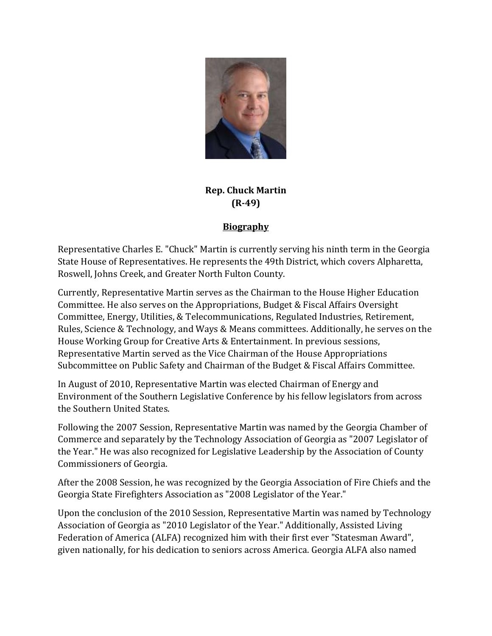

## **Rep. Chuck Martin (R-49)**

## **Biography**

Representative Charles E. "Chuck" Martin is currently serving his ninth term in the Georgia State House of Representatives. He represents the 49th District, which covers Alpharetta, Roswell, Johns Creek, and Greater North Fulton County.

Currently, Representative Martin serves as the Chairman to the House Higher Education Committee. He also serves on the Appropriations, Budget & Fiscal Affairs Oversight Committee, Energy, Utilities, & Telecommunications, Regulated Industries, Retirement, Rules, Science & Technology, and Ways & Means committees. Additionally, he serves on the House Working Group for Creative Arts & Entertainment. In previous sessions, Representative Martin served as the Vice Chairman of the House Appropriations Subcommittee on Public Safety and Chairman of the Budget & Fiscal Affairs Committee.

In August of 2010, Representative Martin was elected Chairman of Energy and Environment of the Southern Legislative Conference by his fellow legislators from across the Southern United States.

Following the 2007 Session, Representative Martin was named by the Georgia Chamber of Commerce and separately by the Technology Association of Georgia as "2007 Legislator of the Year." He was also recognized for Legislative Leadership by the Association of County Commissioners of Georgia.

After the 2008 Session, he was recognized by the Georgia Association of Fire Chiefs and the Georgia State Firefighters Association as "2008 Legislator of the Year."

Upon the conclusion of the 2010 Session, Representative Martin was named by Technology Association of Georgia as "2010 Legislator of the Year." Additionally, Assisted Living Federation of America (ALFA) recognized him with their first ever "Statesman Award", given nationally, for his dedication to seniors across America. Georgia ALFA also named